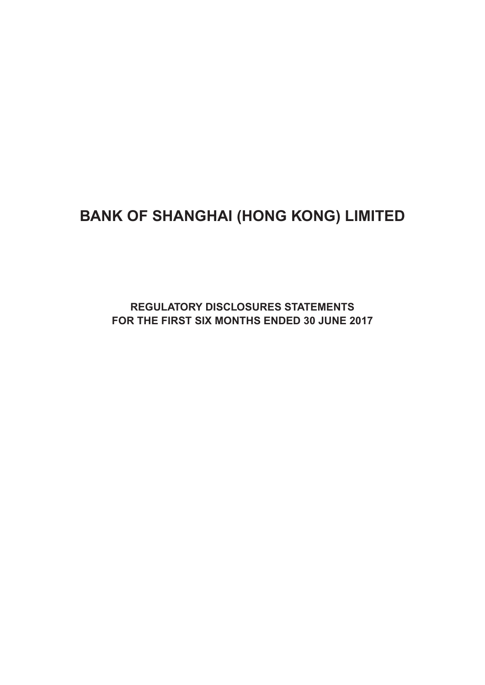# **BANK OF SHANGHAI (HONG KONG) LIMITED**

**Regulatory Disclosures Statements For the First six months ended 30 June 2017**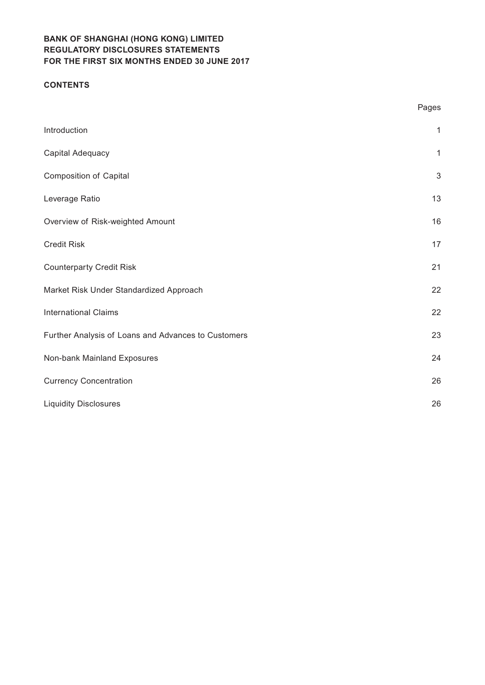#### **CONTENTS**

|                                                     | Pages        |
|-----------------------------------------------------|--------------|
| Introduction                                        | $\mathbf{1}$ |
| Capital Adequacy                                    | $\mathbf{1}$ |
| <b>Composition of Capital</b>                       | $\sqrt{3}$   |
| Leverage Ratio                                      | 13           |
| Overview of Risk-weighted Amount                    | 16           |
| Credit Risk                                         | 17           |
| <b>Counterparty Credit Risk</b>                     | 21           |
| Market Risk Under Standardized Approach             | 22           |
| <b>International Claims</b>                         | 22           |
| Further Analysis of Loans and Advances to Customers | 23           |
| Non-bank Mainland Exposures                         | 24           |
| <b>Currency Concentration</b>                       | 26           |
| <b>Liquidity Disclosures</b>                        | 26           |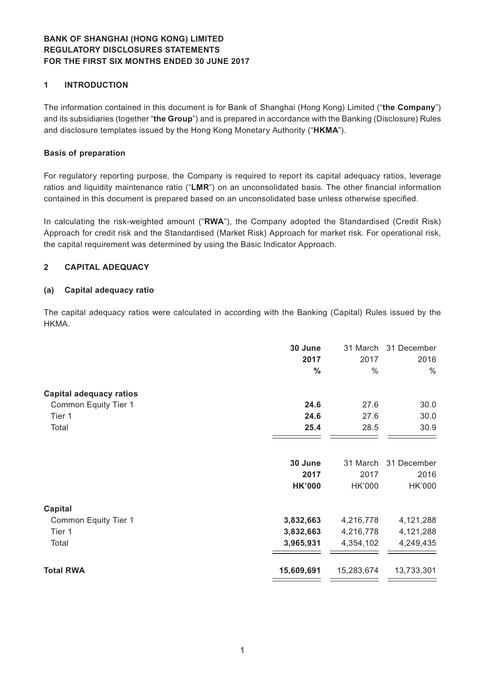#### **1 INTRODUCTION**

The information contained in this document is for Bank of Shanghai (Hong Kong) Limited ("**the Company**") and its subsidiaries (together "**the Group**") and is prepared in accordance with the Banking (Disclosure) Rules and disclosure templates issued by the Hong Kong Monetary Authority ("**HKMA**").

#### **Basis of preparation**

For regulatory reporting purpose, the Company is required to report its capital adequacy ratios, leverage ratios and liquidity maintenance ratio ("**LMR**") on an unconsolidated basis. The other financial information contained in this document is prepared based on an unconsolidated base unless otherwise specified.

In calculating the risk-weighted amount ("**RWA**"), the Company adopted the Standardised (Credit Risk) Approach for credit risk and the Standardised (Market Risk) Approach for market risk. For operational risk, the capital requirement was determined by using the Basic Indicator Approach.

#### **2 CAPITAL ADEQUACY**

#### **(a) Capital adequacy ratio**

The capital adequacy ratios were calculated in according with the Banking (Capital) Rules issued by the HKMA.

|                                | 30 June<br>2017<br>$\frac{0}{0}$ | 31 March<br>2017<br>$\%$ | 31 December<br>2016<br>$\frac{0}{0}$ |
|--------------------------------|----------------------------------|--------------------------|--------------------------------------|
| <b>Capital adequacy ratios</b> |                                  |                          |                                      |
| Common Equity Tier 1           | 24.6                             | 27.6                     | 30.0                                 |
| Tier 1                         | 24.6                             | 27.6                     | 30.0                                 |
| Total                          | 25.4                             | 28.5                     | 30.9                                 |
|                                | 30 June                          | 31 March                 | 31 December                          |
|                                | 2017                             | 2017                     | 2016                                 |
|                                | <b>HK'000</b>                    | <b>HK'000</b>            | HK'000                               |
| <b>Capital</b>                 |                                  |                          |                                      |
| Common Equity Tier 1           | 3,832,663                        | 4,216,778                | 4,121,288                            |
| Tier 1                         | 3,832,663                        | 4,216,778                | 4,121,288                            |
| Total                          | 3,965,931                        | 4,354,102                | 4,249,435                            |
| <b>Total RWA</b>               | 15,609,691                       | 15,283,674               | 13,733,301                           |
|                                |                                  |                          |                                      |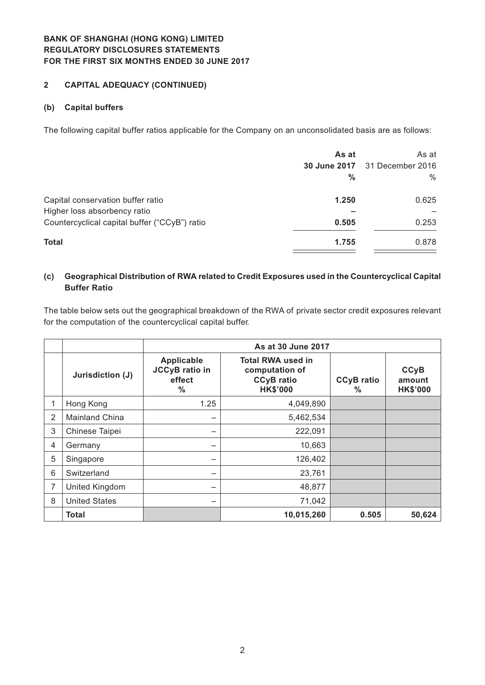#### **2 CAPITAL ADEQUACY (CONTINUED)**

#### **(b) Capital buffers**

The following capital buffer ratios applicable for the Company on an unconsolidated basis are as follows:

|                                               | As at<br><b>30 June 2017</b><br>$\frac{0}{0}$ | As at<br>31 December 2016<br>$\%$ |
|-----------------------------------------------|-----------------------------------------------|-----------------------------------|
| Capital conservation buffer ratio             | 1.250                                         | 0.625                             |
| Higher loss absorbency ratio                  |                                               |                                   |
| Countercyclical capital buffer ("CCyB") ratio | 0.505                                         | 0.253                             |
| <b>Total</b>                                  | 1.755                                         | 0.878                             |

#### **(c) Geographical Distribution of RWA related to Credit Exposures used in the Countercyclical Capital Buffer Ratio**

The table below sets out the geographical breakdown of the RWA of private sector credit exposures relevant for the computation of the countercyclical capital buffer.

|   |                      |                                                                       | As at 30 June 2017                                                                 |                        |                                          |
|---|----------------------|-----------------------------------------------------------------------|------------------------------------------------------------------------------------|------------------------|------------------------------------------|
|   | Jurisdiction (J)     | <b>Applicable</b><br><b>JCCyB</b> ratio in<br>effect<br>$\frac{0}{0}$ | <b>Total RWA used in</b><br>computation of<br><b>CCyB</b> ratio<br><b>HK\$'000</b> | <b>CCyB</b> ratio<br>℅ | <b>CCyB</b><br>amount<br><b>HK\$'000</b> |
|   | Hong Kong            | 1.25                                                                  | 4,049,890                                                                          |                        |                                          |
| 2 | Mainland China       | —                                                                     | 5,462,534                                                                          |                        |                                          |
| 3 | Chinese Taipei       | -                                                                     | 222,091                                                                            |                        |                                          |
| 4 | Germany              | —                                                                     | 10,663                                                                             |                        |                                          |
| 5 | Singapore            | —                                                                     | 126,402                                                                            |                        |                                          |
| 6 | Switzerland          | -                                                                     | 23,761                                                                             |                        |                                          |
|   | United Kingdom       | —                                                                     | 48,877                                                                             |                        |                                          |
| 8 | <b>United States</b> | —                                                                     | 71,042                                                                             |                        |                                          |
|   | <b>Total</b>         |                                                                       | 10,015,260                                                                         | 0.505                  | 50,624                                   |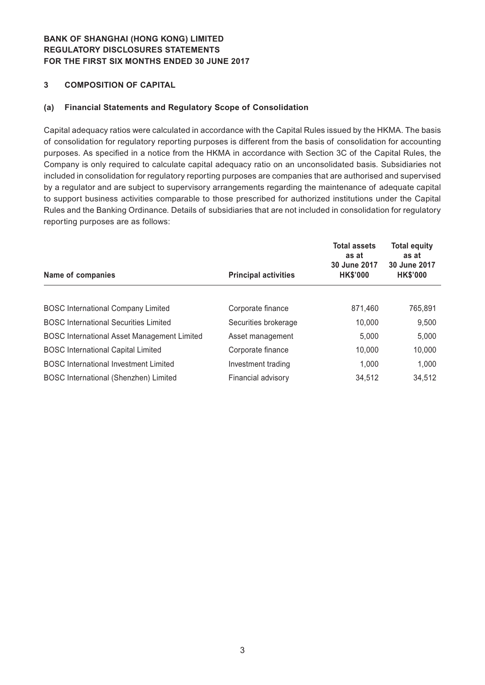#### **3 COMPOSITION OF CAPITAL**

#### **(a) Financial Statements and Regulatory Scope of Consolidation**

Capital adequacy ratios were calculated in accordance with the Capital Rules issued by the HKMA. The basis of consolidation for regulatory reporting purposes is different from the basis of consolidation for accounting purposes. As specified in a notice from the HKMA in accordance with Section 3C of the Capital Rules, the Company is only required to calculate capital adequacy ratio on an unconsolidated basis. Subsidiaries not included in consolidation for regulatory reporting purposes are companies that are authorised and supervised by a regulator and are subject to supervisory arrangements regarding the maintenance of adequate capital to support business activities comparable to those prescribed for authorized institutions under the Capital Rules and the Banking Ordinance. Details of subsidiaries that are not included in consolidation for regulatory reporting purposes are as follows:

| Name of companies                                  | <b>Principal activities</b> | <b>Total assets</b><br>as at<br>30 June 2017<br><b>HK\$'000</b> | <b>Total equity</b><br>as at<br>30 June 2017<br><b>HK\$'000</b> |
|----------------------------------------------------|-----------------------------|-----------------------------------------------------------------|-----------------------------------------------------------------|
|                                                    |                             |                                                                 |                                                                 |
| <b>BOSC International Company Limited</b>          | Corporate finance           | 871,460                                                         | 765,891                                                         |
| <b>BOSC International Securities Limited</b>       | Securities brokerage        | 10,000                                                          | 9,500                                                           |
| <b>BOSC International Asset Management Limited</b> | Asset management            | 5,000                                                           | 5,000                                                           |
| <b>BOSC</b> International Capital Limited          | Corporate finance           | 10,000                                                          | 10,000                                                          |
| <b>BOSC International Investment Limited</b>       | Investment trading          | 1.000                                                           | 1,000                                                           |
| BOSC International (Shenzhen) Limited              | Financial advisory          | 34,512                                                          | 34,512                                                          |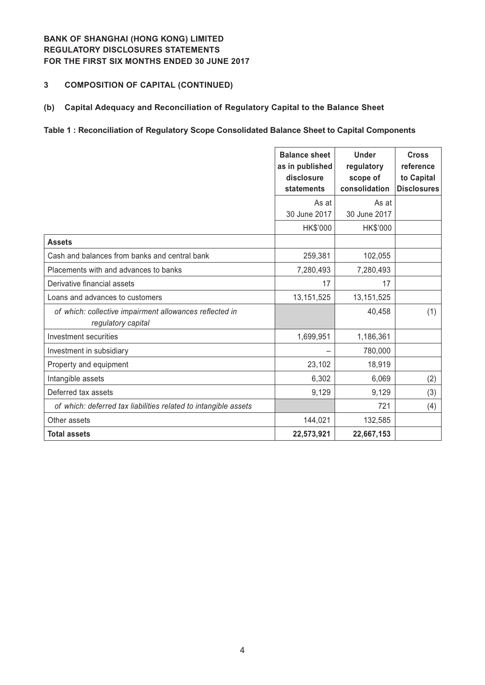## **3 COMPOSITION OF CAPITAL (CONTINUED)**

#### **(b) Capital Adequacy and Reconciliation of Regulatory Capital to the Balance Sheet**

### **Table 1 : Reconciliation of Regulatory Scope Consolidated Balance Sheet to Capital Components**

|                                                                               | <b>Balance sheet</b><br>as in published<br>disclosure<br>statements | <b>Under</b><br>regulatory<br>scope of<br>consolidation | <b>Cross</b><br>reference<br>to Capital<br><b>Disclosures</b> |
|-------------------------------------------------------------------------------|---------------------------------------------------------------------|---------------------------------------------------------|---------------------------------------------------------------|
|                                                                               | As at<br>30 June 2017                                               | As at<br>30 June 2017                                   |                                                               |
| <b>Assets</b>                                                                 | HK\$'000                                                            | HK\$'000                                                |                                                               |
| Cash and balances from banks and central bank                                 | 259,381                                                             | 102,055                                                 |                                                               |
| Placements with and advances to banks                                         | 7,280,493                                                           | 7,280,493                                               |                                                               |
| Derivative financial assets                                                   | 17                                                                  | 17                                                      |                                                               |
| Loans and advances to customers                                               | 13, 151, 525                                                        | 13, 151, 525                                            |                                                               |
| of which: collective impairment allowances reflected in<br>regulatory capital |                                                                     | 40,458                                                  | (1)                                                           |
| Investment securities                                                         | 1,699,951                                                           | 1,186,361                                               |                                                               |
| Investment in subsidiary                                                      |                                                                     | 780,000                                                 |                                                               |
| Property and equipment                                                        | 23,102                                                              | 18,919                                                  |                                                               |
| Intangible assets                                                             | 6,302                                                               | 6,069                                                   | (2)                                                           |
| Deferred tax assets                                                           | 9,129                                                               | 9,129                                                   | (3)                                                           |
| of which: deferred tax liabilities related to intangible assets               |                                                                     | 721                                                     | (4)                                                           |
| Other assets                                                                  | 144,021                                                             | 132,585                                                 |                                                               |
| <b>Total assets</b>                                                           | 22,573,921                                                          | 22,667,153                                              |                                                               |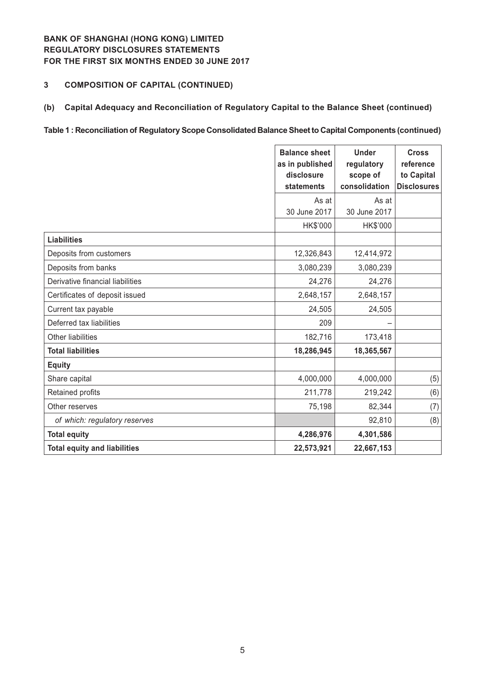# **3 COMPOSITION OF CAPITAL (CONTINUED)**

#### **(b) Capital Adequacy and Reconciliation of Regulatory Capital to the Balance Sheet (continued)**

#### **Table 1 : Reconciliation of Regulatory Scope Consolidated Balance Sheet to Capital Components (continued)**

|                                     | <b>Balance sheet</b><br>as in published<br>disclosure<br>statements | <b>Under</b><br>regulatory<br>scope of<br>consolidation | <b>Cross</b><br>reference<br>to Capital<br><b>Disclosures</b> |
|-------------------------------------|---------------------------------------------------------------------|---------------------------------------------------------|---------------------------------------------------------------|
|                                     | As at                                                               | As at                                                   |                                                               |
|                                     | 30 June 2017                                                        | 30 June 2017                                            |                                                               |
| <b>Liabilities</b>                  | HK\$'000                                                            | HK\$'000                                                |                                                               |
|                                     |                                                                     |                                                         |                                                               |
| Deposits from customers             | 12,326,843                                                          | 12,414,972                                              |                                                               |
| Deposits from banks                 | 3,080,239                                                           | 3,080,239                                               |                                                               |
| Derivative financial liabilities    | 24,276                                                              | 24,276                                                  |                                                               |
| Certificates of deposit issued      | 2,648,157                                                           | 2,648,157                                               |                                                               |
| Current tax payable                 | 24,505                                                              | 24,505                                                  |                                                               |
| Deferred tax liabilities            | 209                                                                 |                                                         |                                                               |
| Other liabilities                   | 182,716                                                             | 173,418                                                 |                                                               |
| <b>Total liabilities</b>            | 18,286,945                                                          | 18,365,567                                              |                                                               |
| <b>Equity</b>                       |                                                                     |                                                         |                                                               |
| Share capital                       | 4,000,000                                                           | 4,000,000                                               | (5)                                                           |
| Retained profits                    | 211,778                                                             | 219,242                                                 | (6)                                                           |
| Other reserves                      | 75,198                                                              | 82,344                                                  | (7)                                                           |
| of which: regulatory reserves       |                                                                     | 92,810                                                  | (8)                                                           |
| <b>Total equity</b>                 | 4,286,976                                                           | 4,301,586                                               |                                                               |
| <b>Total equity and liabilities</b> | 22,573,921                                                          | 22,667,153                                              |                                                               |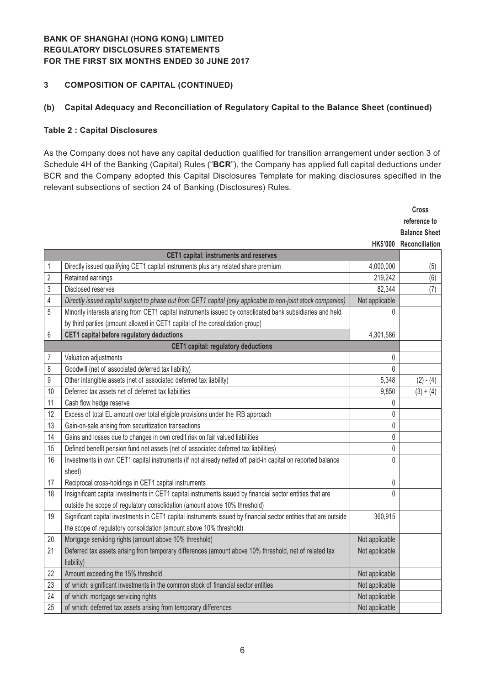#### **3 COMPOSITION OF CAPITAL (CONTINUED)**

### **(b) Capital Adequacy and Reconciliation of Regulatory Capital to the Balance Sheet (continued)**

#### **Table 2 : Capital Disclosures**

As the Company does not have any capital deduction qualified for transition arrangement under section 3 of Schedule 4H of the Banking (Capital) Rules ("**BCR**"), the Company has applied full capital deductions under BCR and the Company adopted this Capital Disclosures Template for making disclosures specified in the relevant subsections of section 24 of Banking (Disclosures) Rules.

|    |                                                                                                                  |                | <b>Cross</b>            |
|----|------------------------------------------------------------------------------------------------------------------|----------------|-------------------------|
|    |                                                                                                                  |                | reference to            |
|    |                                                                                                                  |                | <b>Balance Sheet</b>    |
|    |                                                                                                                  |                | HK\$'000 Reconciliation |
|    | <b>CET1 capital: instruments and reserves</b>                                                                    |                |                         |
| 1  | Directly issued qualifying CET1 capital instruments plus any related share premium                               | 4,000,000      | (5)                     |
| 2  | Retained earnings                                                                                                | 219,242        | (6)                     |
| 3  | Disclosed reserves                                                                                               | 82,344         | (7)                     |
| 4  | Directly issued capital subject to phase out from CET1 capital (only applicable to non-joint stock companies)    | Not applicable |                         |
| 5  | Minority interests arising from CET1 capital instruments issued by consolidated bank subsidiaries and held       | $\theta$       |                         |
|    | by third parties (amount allowed in CET1 capital of the consolidation group)                                     |                |                         |
| 6  | CET1 capital before regulatory deductions                                                                        | 4,301,586      |                         |
|    | <b>CET1 capital: regulatory deductions</b>                                                                       |                |                         |
| 7  | Valuation adjustments                                                                                            | 0              |                         |
| 8  | Goodwill (net of associated deferred tax liability)                                                              | $\theta$       |                         |
| 9  | Other intangible assets (net of associated deferred tax liability)                                               | 5,348          | $(2) - (4)$             |
| 10 | Deferred tax assets net of deferred tax liabilities                                                              | 9,850          | $(3) + (4)$             |
| 11 | Cash flow hedge reserve                                                                                          | 0              |                         |
| 12 | Excess of total EL amount over total eligible provisions under the IRB approach                                  | $\mathbf{0}$   |                         |
| 13 | Gain-on-sale arising from securitization transactions                                                            | 0              |                         |
| 14 | Gains and losses due to changes in own credit risk on fair valued liabilities                                    | 0              |                         |
| 15 | Defined benefit pension fund net assets (net of associated deferred tax liabilities)                             | 0              |                         |
| 16 | Investments in own CET1 capital instruments (if not already netted off paid-in capital on reported balance       | $\theta$       |                         |
|    | sheet)                                                                                                           |                |                         |
| 17 | Reciprocal cross-holdings in CET1 capital instruments                                                            | $\pmb{0}$      |                         |
| 18 | Insignificant capital investments in CET1 capital instruments issued by financial sector entities that are       | $\Omega$       |                         |
|    | outside the scope of regulatory consolidation (amount above 10% threshold)                                       |                |                         |
| 19 | Significant capital investments in CET1 capital instruments issued by financial sector entities that are outside | 360,915        |                         |
|    | the scope of regulatory consolidation (amount above 10% threshold)                                               |                |                         |
| 20 | Mortgage servicing rights (amount above 10% threshold)                                                           | Not applicable |                         |
| 21 | Deferred tax assets arising from temporary differences (amount above 10% threshold, net of related tax           | Not applicable |                         |
|    | liability)                                                                                                       |                |                         |
| 22 | Amount exceeding the 15% threshold                                                                               | Not applicable |                         |
| 23 | of which: significant investments in the common stock of financial sector entities                               | Not applicable |                         |
| 24 | of which: mortgage servicing rights                                                                              | Not applicable |                         |
| 25 | of which: deferred tax assets arising from temporary differences                                                 | Not applicable |                         |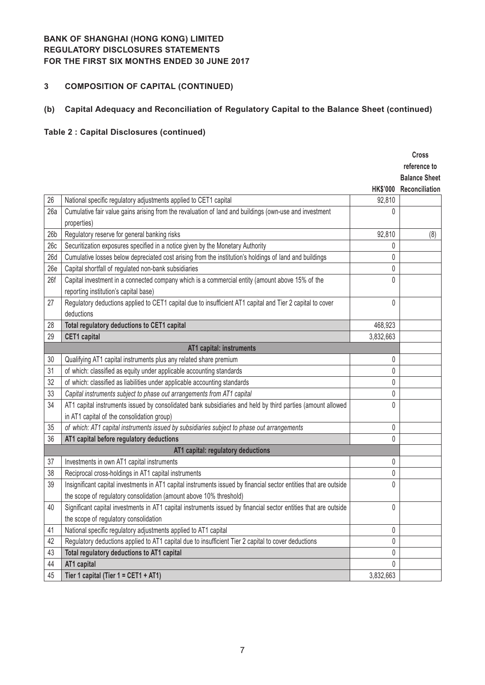# **3 COMPOSITION OF CAPITAL (CONTINUED)**

## **(b) Capital Adequacy and Reconciliation of Regulatory Capital to the Balance Sheet (continued)**

# **Table 2 : Capital Disclosures (continued)**

|                 |                                                                                                                   |                 | <b>Cross</b><br>reference to<br><b>Balance Sheet</b> |
|-----------------|-------------------------------------------------------------------------------------------------------------------|-----------------|------------------------------------------------------|
|                 |                                                                                                                   | <b>HK\$'000</b> | Reconciliation                                       |
| 26              | National specific regulatory adjustments applied to CET1 capital                                                  | 92,810          |                                                      |
| 26a             | Cumulative fair value gains arising from the revaluation of land and buildings (own-use and investment            | 0               |                                                      |
|                 | properties)                                                                                                       |                 |                                                      |
| 26 <sub>b</sub> | Regulatory reserve for general banking risks                                                                      | 92,810          | (8)                                                  |
| 26c             | Securitization exposures specified in a notice given by the Monetary Authority                                    | 0               |                                                      |
| 26d             | Cumulative losses below depreciated cost arising from the institution's holdings of land and buildings            | 0               |                                                      |
| 26e             | Capital shortfall of regulated non-bank subsidiaries                                                              | 0               |                                                      |
| 26f             | Capital investment in a connected company which is a commercial entity (amount above 15% of the                   | 0               |                                                      |
|                 | reporting institution's capital base)                                                                             |                 |                                                      |
| 27              | Regulatory deductions applied to CET1 capital due to insufficient AT1 capital and Tier 2 capital to cover         | 0               |                                                      |
|                 | deductions                                                                                                        |                 |                                                      |
| 28              | Total regulatory deductions to CET1 capital                                                                       | 468,923         |                                                      |
| 29              | <b>CET1</b> capital                                                                                               | 3,832,663       |                                                      |
|                 | AT1 capital: instruments                                                                                          |                 |                                                      |
| 30              | Qualifying AT1 capital instruments plus any related share premium                                                 | 0               |                                                      |
| 31              | of which: classified as equity under applicable accounting standards                                              | 0               |                                                      |
| 32              | of which: classified as liabilities under applicable accounting standards                                         | 0               |                                                      |
| 33              | Capital instruments subject to phase out arrangements from AT1 capital                                            | 0               |                                                      |
| 34              | AT1 capital instruments issued by consolidated bank subsidiaries and held by third parties (amount allowed        | 0               |                                                      |
|                 | in AT1 capital of the consolidation group)                                                                        |                 |                                                      |
| 35              | of which: AT1 capital instruments issued by subsidiaries subject to phase out arrangements                        | 0               |                                                      |
| 36              | AT1 capital before regulatory deductions                                                                          | 0               |                                                      |
|                 | AT1 capital: regulatory deductions                                                                                |                 |                                                      |
| 37              | Investments in own AT1 capital instruments                                                                        | 0               |                                                      |
| 38              | Reciprocal cross-holdings in AT1 capital instruments                                                              | 0               |                                                      |
| 39              | Insignificant capital investments in AT1 capital instruments issued by financial sector entities that are outside | 0               |                                                      |
|                 | the scope of regulatory consolidation (amount above 10% threshold)                                                |                 |                                                      |
| 40              | Significant capital investments in AT1 capital instruments issued by financial sector entities that are outside   | 0               |                                                      |
|                 | the scope of regulatory consolidation                                                                             |                 |                                                      |
| 41              | National specific regulatory adjustments applied to AT1 capital                                                   | 0               |                                                      |
| 42              | Regulatory deductions applied to AT1 capital due to insufficient Tier 2 capital to cover deductions               | 0               |                                                      |
| 43              | Total regulatory deductions to AT1 capital                                                                        | 0               |                                                      |
| 44              | AT1 capital                                                                                                       | 0               |                                                      |
| 45              | Tier 1 capital (Tier $1 = CET1 + AT1$ )                                                                           | 3,832,663       |                                                      |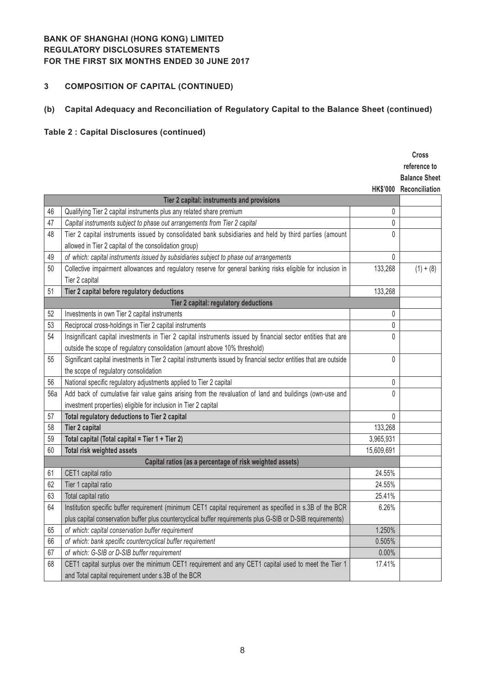# **3 COMPOSITION OF CAPITAL (CONTINUED)**

## **(b) Capital Adequacy and Reconciliation of Regulatory Capital to the Balance Sheet (continued)**

# **Table 2 : Capital Disclosures (continued)**

|     |                                                                                                                    |                 | <b>Cross</b>         |
|-----|--------------------------------------------------------------------------------------------------------------------|-----------------|----------------------|
|     |                                                                                                                    |                 | reference to         |
|     |                                                                                                                    |                 | <b>Balance Sheet</b> |
|     |                                                                                                                    | <b>HK\$'000</b> | Reconciliation       |
|     | Tier 2 capital: instruments and provisions                                                                         |                 |                      |
| 46  | Qualifying Tier 2 capital instruments plus any related share premium                                               | 0               |                      |
| 47  | Capital instruments subject to phase out arrangements from Tier 2 capital                                          | 0               |                      |
| 48  | Tier 2 capital instruments issued by consolidated bank subsidiaries and held by third parties (amount              | $\Omega$        |                      |
|     | allowed in Tier 2 capital of the consolidation group)                                                              |                 |                      |
| 49  | of which: capital instruments issued by subsidiaries subject to phase out arrangements                             | 0               |                      |
| 50  | Collective impairment allowances and regulatory reserve for general banking risks eligible for inclusion in        | 133,268         | $(1) + (8)$          |
|     | Tier 2 capital                                                                                                     |                 |                      |
| 51  | Tier 2 capital before regulatory deductions                                                                        | 133,268         |                      |
|     | Tier 2 capital: regulatory deductions                                                                              |                 |                      |
| 52  | Investments in own Tier 2 capital instruments                                                                      | 0               |                      |
| 53  | Reciprocal cross-holdings in Tier 2 capital instruments                                                            | $\Omega$        |                      |
| 54  | Insignificant capital investments in Tier 2 capital instruments issued by financial sector entities that are       | $\mathbf{0}$    |                      |
|     | outside the scope of regulatory consolidation (amount above 10% threshold)                                         |                 |                      |
| 55  | Significant capital investments in Tier 2 capital instruments issued by financial sector entities that are outside | 0               |                      |
|     | the scope of regulatory consolidation                                                                              |                 |                      |
| 56  | National specific regulatory adjustments applied to Tier 2 capital                                                 | 0               |                      |
| 56a | Add back of cumulative fair value gains arising from the revaluation of land and buildings (own-use and            | $\mathbf{0}$    |                      |
|     | investment properties) eligible for inclusion in Tier 2 capital                                                    |                 |                      |
| 57  | Total regulatory deductions to Tier 2 capital                                                                      | 0               |                      |
| 58  | Tier 2 capital                                                                                                     | 133,268         |                      |
| 59  | Total capital (Total capital = Tier 1 + Tier 2)                                                                    | 3,965,931       |                      |
| 60  | Total risk weighted assets                                                                                         | 15,609,691      |                      |
|     | Capital ratios (as a percentage of risk weighted assets)                                                           |                 |                      |
| 61  | CET1 capital ratio                                                                                                 | 24.55%          |                      |
| 62  | Tier 1 capital ratio                                                                                               | 24.55%          |                      |
| 63  | Total capital ratio                                                                                                | 25.41%          |                      |
| 64  | Institution specific buffer requirement (minimum CET1 capital requirement as specified in s.3B of the BCR          | 6.26%           |                      |
|     | plus capital conservation buffer plus countercyclical buffer requirements plus G-SIB or D-SIB requirements)        |                 |                      |
| 65  | of which: capital conservation buffer requirement                                                                  | 1.250%          |                      |
| 66  | of which: bank specific countercyclical buffer requirement                                                         | 0.505%          |                      |
| 67  | of which: G-SIB or D-SIB buffer requirement                                                                        | 0.00%           |                      |
| 68  | CET1 capital surplus over the minimum CET1 requirement and any CET1 capital used to meet the Tier 1                | 17.41%          |                      |
|     | and Total capital requirement under s.3B of the BCR                                                                |                 |                      |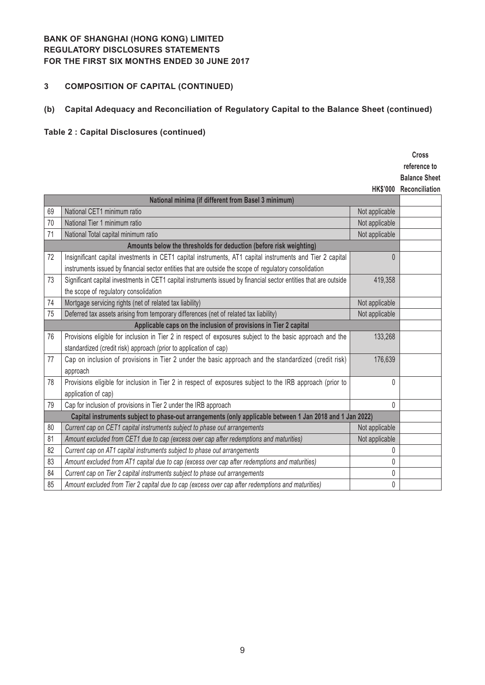## **3 COMPOSITION OF CAPITAL (CONTINUED)**

# **(b) Capital Adequacy and Reconciliation of Regulatory Capital to the Balance Sheet (continued)**

# **Table 2 : Capital Disclosures (continued)**

|    |                                                                                                                  |                | <b>Cross</b>            |
|----|------------------------------------------------------------------------------------------------------------------|----------------|-------------------------|
|    |                                                                                                                  |                | reference to            |
|    |                                                                                                                  |                | <b>Balance Sheet</b>    |
|    |                                                                                                                  |                | HK\$'000 Reconciliation |
|    | National minima (if different from Basel 3 minimum)                                                              |                |                         |
| 69 | National CET1 minimum ratio                                                                                      | Not applicable |                         |
| 70 | National Tier 1 minimum ratio                                                                                    | Not applicable |                         |
| 71 | National Total capital minimum ratio                                                                             | Not applicable |                         |
|    | Amounts below the thresholds for deduction (before risk weighting)                                               |                |                         |
| 72 | Insignificant capital investments in CET1 capital instruments, AT1 capital instruments and Tier 2 capital        | $\Omega$       |                         |
|    | instruments issued by financial sector entities that are outside the scope of regulatory consolidation           |                |                         |
| 73 | Significant capital investments in CET1 capital instruments issued by financial sector entities that are outside | 419,358        |                         |
|    | the scope of regulatory consolidation                                                                            |                |                         |
| 74 | Mortgage servicing rights (net of related tax liability)                                                         | Not applicable |                         |
| 75 | Deferred tax assets arising from temporary differences (net of related tax liability)                            | Not applicable |                         |
|    | Applicable caps on the inclusion of provisions in Tier 2 capital                                                 |                |                         |
| 76 | Provisions eligible for inclusion in Tier 2 in respect of exposures subject to the basic approach and the        | 133,268        |                         |
|    | standardized (credit risk) approach (prior to application of cap)                                                |                |                         |
| 77 | Cap on inclusion of provisions in Tier 2 under the basic approach and the standardized (credit risk)             | 176,639        |                         |
|    | approach                                                                                                         |                |                         |
| 78 | Provisions eligible for inclusion in Tier 2 in respect of exposures subject to the IRB approach (prior to        | $\mathbf{0}$   |                         |
|    | application of cap)                                                                                              |                |                         |
| 79 | Cap for inclusion of provisions in Tier 2 under the IRB approach                                                 | 0              |                         |
|    | Capital instruments subject to phase-out arrangements (only applicable between 1 Jan 2018 and 1 Jan 2022)        |                |                         |
| 80 | Current cap on CET1 capital instruments subject to phase out arrangements                                        | Not applicable |                         |
| 81 | Amount excluded from CET1 due to cap (excess over cap after redemptions and maturities)                          | Not applicable |                         |
| 82 | Current cap on AT1 capital instruments subject to phase out arrangements                                         | 0              |                         |
| 83 | Amount excluded from AT1 capital due to cap (excess over cap after redemptions and maturities)                   | 0              |                         |
| 84 | Current cap on Tier 2 capital instruments subject to phase out arrangements                                      | 0              |                         |
| 85 | Amount excluded from Tier 2 capital due to cap (excess over cap after redemptions and maturities)                | 0              |                         |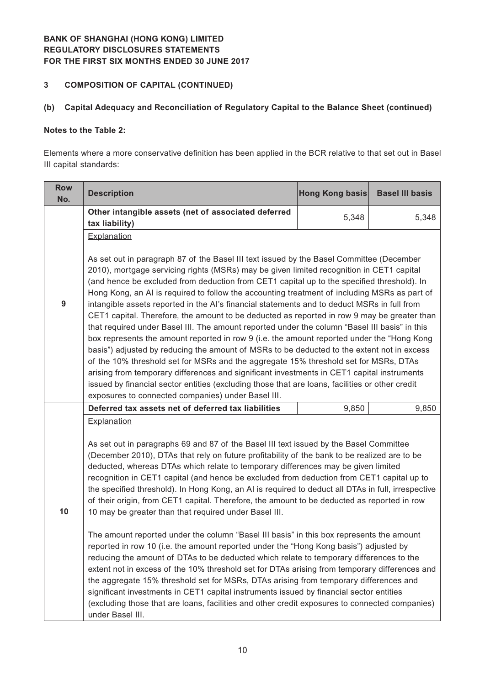## **3 COMPOSITION OF CAPITAL (CONTINUED)**

## **(b) Capital Adequacy and Reconciliation of Regulatory Capital to the Balance Sheet (continued)**

#### **Notes to the Table 2:**

Elements where a more conservative definition has been applied in the BCR relative to that set out in Basel III capital standards:

| <b>Row</b><br>No. | <b>Description</b>                                                                                                                                                                                                                                                                                                                                                                                                                                                                                                                                                                                                                                                                                                                                                                                                                                                                                                                                                                                                                                                                                                                                                                                                                                                                                                                               | Hong Kong basis | <b>Basel III basis</b> |  |  |
|-------------------|--------------------------------------------------------------------------------------------------------------------------------------------------------------------------------------------------------------------------------------------------------------------------------------------------------------------------------------------------------------------------------------------------------------------------------------------------------------------------------------------------------------------------------------------------------------------------------------------------------------------------------------------------------------------------------------------------------------------------------------------------------------------------------------------------------------------------------------------------------------------------------------------------------------------------------------------------------------------------------------------------------------------------------------------------------------------------------------------------------------------------------------------------------------------------------------------------------------------------------------------------------------------------------------------------------------------------------------------------|-----------------|------------------------|--|--|
|                   | Other intangible assets (net of associated deferred                                                                                                                                                                                                                                                                                                                                                                                                                                                                                                                                                                                                                                                                                                                                                                                                                                                                                                                                                                                                                                                                                                                                                                                                                                                                                              | 5,348           | 5,348                  |  |  |
|                   | tax liability)                                                                                                                                                                                                                                                                                                                                                                                                                                                                                                                                                                                                                                                                                                                                                                                                                                                                                                                                                                                                                                                                                                                                                                                                                                                                                                                                   |                 |                        |  |  |
|                   | Explanation                                                                                                                                                                                                                                                                                                                                                                                                                                                                                                                                                                                                                                                                                                                                                                                                                                                                                                                                                                                                                                                                                                                                                                                                                                                                                                                                      |                 |                        |  |  |
| 9                 | As set out in paragraph 87 of the Basel III text issued by the Basel Committee (December<br>2010), mortgage servicing rights (MSRs) may be given limited recognition in CET1 capital<br>(and hence be excluded from deduction from CET1 capital up to the specified threshold). In<br>Hong Kong, an AI is required to follow the accounting treatment of including MSRs as part of<br>intangible assets reported in the AI's financial statements and to deduct MSRs in full from<br>CET1 capital. Therefore, the amount to be deducted as reported in row 9 may be greater than<br>that required under Basel III. The amount reported under the column "Basel III basis" in this<br>box represents the amount reported in row 9 (i.e. the amount reported under the "Hong Kong<br>basis") adjusted by reducing the amount of MSRs to be deducted to the extent not in excess<br>of the 10% threshold set for MSRs and the aggregate 15% threshold set for MSRs, DTAs<br>arising from temporary differences and significant investments in CET1 capital instruments<br>issued by financial sector entities (excluding those that are loans, facilities or other credit<br>exposures to connected companies) under Basel III.                                                                                                                     |                 |                        |  |  |
|                   | Deferred tax assets net of deferred tax liabilities                                                                                                                                                                                                                                                                                                                                                                                                                                                                                                                                                                                                                                                                                                                                                                                                                                                                                                                                                                                                                                                                                                                                                                                                                                                                                              | 9,850           | 9,850                  |  |  |
| 10                | Explanation<br>As set out in paragraphs 69 and 87 of the Basel III text issued by the Basel Committee<br>(December 2010), DTAs that rely on future profitability of the bank to be realized are to be<br>deducted, whereas DTAs which relate to temporary differences may be given limited<br>recognition in CET1 capital (and hence be excluded from deduction from CET1 capital up to<br>the specified threshold). In Hong Kong, an AI is required to deduct all DTAs in full, irrespective<br>of their origin, from CET1 capital. Therefore, the amount to be deducted as reported in row<br>10 may be greater than that required under Basel III.<br>The amount reported under the column "Basel III basis" in this box represents the amount<br>reported in row 10 (i.e. the amount reported under the "Hong Kong basis") adjusted by<br>reducing the amount of DTAs to be deducted which relate to temporary differences to the<br>extent not in excess of the 10% threshold set for DTAs arising from temporary differences and<br>the aggregate 15% threshold set for MSRs, DTAs arising from temporary differences and<br>significant investments in CET1 capital instruments issued by financial sector entities<br>(excluding those that are loans, facilities and other credit exposures to connected companies)<br>under Basel III. |                 |                        |  |  |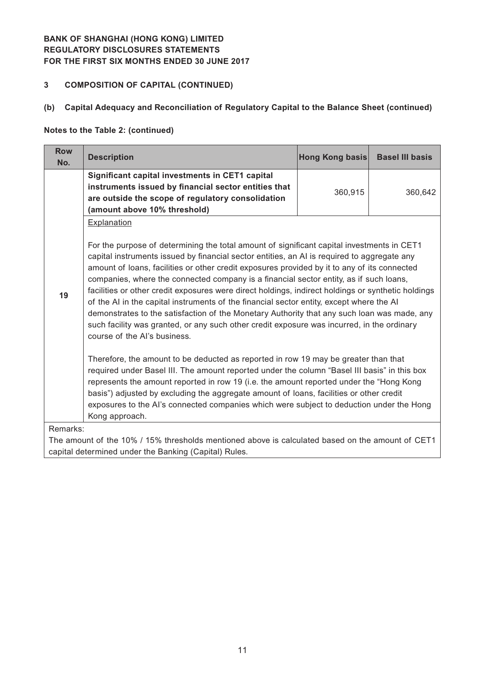# **3 COMPOSITION OF CAPITAL (CONTINUED)**

### **(b) Capital Adequacy and Reconciliation of Regulatory Capital to the Balance Sheet (continued)**

#### **Notes to the Table 2: (continued)**

| <b>Row</b><br>No. | <b>Description</b>                                                                                                                                                                                                                                                                                                                                                                                                                                                                                                                                                                                                                                                                                                                                                                                                                                                                                                                                                                                                                                                                                                                                                                                                                                                                                                           | Hong Kong basis | <b>Basel III basis</b> |  |  |  |  |  |
|-------------------|------------------------------------------------------------------------------------------------------------------------------------------------------------------------------------------------------------------------------------------------------------------------------------------------------------------------------------------------------------------------------------------------------------------------------------------------------------------------------------------------------------------------------------------------------------------------------------------------------------------------------------------------------------------------------------------------------------------------------------------------------------------------------------------------------------------------------------------------------------------------------------------------------------------------------------------------------------------------------------------------------------------------------------------------------------------------------------------------------------------------------------------------------------------------------------------------------------------------------------------------------------------------------------------------------------------------------|-----------------|------------------------|--|--|--|--|--|
|                   | Significant capital investments in CET1 capital<br>instruments issued by financial sector entities that<br>are outside the scope of regulatory consolidation<br>(amount above 10% threshold)                                                                                                                                                                                                                                                                                                                                                                                                                                                                                                                                                                                                                                                                                                                                                                                                                                                                                                                                                                                                                                                                                                                                 | 360,915         | 360,642                |  |  |  |  |  |
| 19                | Explanation<br>For the purpose of determining the total amount of significant capital investments in CET1<br>capital instruments issued by financial sector entities, an AI is required to aggregate any<br>amount of loans, facilities or other credit exposures provided by it to any of its connected<br>companies, where the connected company is a financial sector entity, as if such loans,<br>facilities or other credit exposures were direct holdings, indirect holdings or synthetic holdings<br>of the AI in the capital instruments of the financial sector entity, except where the AI<br>demonstrates to the satisfaction of the Monetary Authority that any such loan was made, any<br>such facility was granted, or any such other credit exposure was incurred, in the ordinary<br>course of the Al's business.<br>Therefore, the amount to be deducted as reported in row 19 may be greater than that<br>required under Basel III. The amount reported under the column "Basel III basis" in this box<br>represents the amount reported in row 19 (i.e. the amount reported under the "Hong Kong<br>basis") adjusted by excluding the aggregate amount of loans, facilities or other credit<br>exposures to the AI's connected companies which were subject to deduction under the Hong<br>Kong approach. |                 |                        |  |  |  |  |  |
|                   | Remarks:<br>The amount of the 10% / 15% thresholds mentioned above is calculated based on the amount of CET1<br>capital determined under the Banking (Capital) Rules.                                                                                                                                                                                                                                                                                                                                                                                                                                                                                                                                                                                                                                                                                                                                                                                                                                                                                                                                                                                                                                                                                                                                                        |                 |                        |  |  |  |  |  |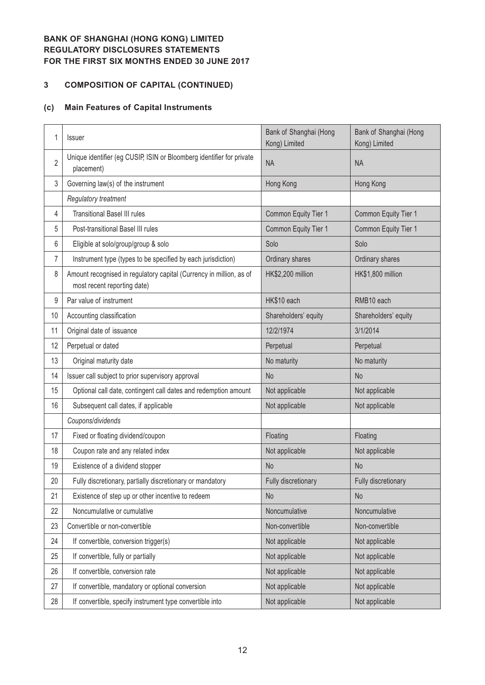# **3 COMPOSITION OF CAPITAL (CONTINUED)**

## **(c) Main Features of Capital Instruments**

| 1              | <b>Issuer</b>                                                                                      | Bank of Shanghai (Hong<br>Kong) Limited | Bank of Shanghai (Hong<br>Kong) Limited |
|----------------|----------------------------------------------------------------------------------------------------|-----------------------------------------|-----------------------------------------|
| $\overline{2}$ | Unique identifier (eg CUSIP, ISIN or Bloomberg identifier for private<br>placement)                | <b>NA</b>                               | <b>NA</b>                               |
| 3              | Governing law(s) of the instrument                                                                 | Hong Kong                               | Hong Kong                               |
|                | Regulatory treatment                                                                               |                                         |                                         |
| 4              | <b>Transitional Basel III rules</b>                                                                | Common Equity Tier 1                    | Common Equity Tier 1                    |
| 5              | Post-transitional Basel III rules                                                                  | Common Equity Tier 1                    | Common Equity Tier 1                    |
| 6              | Eligible at solo/group/group & solo                                                                | Solo                                    | Solo                                    |
| 7              | Instrument type (types to be specified by each jurisdiction)                                       | Ordinary shares                         | Ordinary shares                         |
| 8              | Amount recognised in regulatory capital (Currency in million, as of<br>most recent reporting date) | HK\$2,200 million                       | HK\$1,800 million                       |
| 9              | Par value of instrument                                                                            | HK\$10 each                             | RMB10 each                              |
| 10             | Accounting classification                                                                          | Shareholders' equity                    | Shareholders' equity                    |
| 11             | Original date of issuance                                                                          | 12/2/1974                               | 3/1/2014                                |
| 12             | Perpetual or dated                                                                                 | Perpetual                               | Perpetual                               |
| 13             | Original maturity date                                                                             | No maturity                             | No maturity                             |
| 14             | Issuer call subject to prior supervisory approval                                                  | <b>No</b>                               | <b>No</b>                               |
| 15             | Optional call date, contingent call dates and redemption amount                                    | Not applicable                          | Not applicable                          |
| 16             | Subsequent call dates, if applicable                                                               | Not applicable                          | Not applicable                          |
|                | Coupons/dividends                                                                                  |                                         |                                         |
| 17             | Fixed or floating dividend/coupon                                                                  | Floating                                | Floating                                |
| 18             | Coupon rate and any related index                                                                  | Not applicable                          | Not applicable                          |
| 19             | Existence of a dividend stopper                                                                    | <b>No</b>                               | <b>No</b>                               |
| 20             | Fully discretionary, partially discretionary or mandatory                                          | Fully discretionary                     | Fully discretionary                     |
| 21             | Existence of step up or other incentive to redeem                                                  | <b>No</b>                               | No                                      |
| 22             | Noncumulative or cumulative                                                                        | Noncumulative                           | Noncumulative                           |
| 23             | Convertible or non-convertible                                                                     | Non-convertible                         | Non-convertible                         |
| 24             | If convertible, conversion trigger(s)                                                              | Not applicable                          | Not applicable                          |
| 25             | If convertible, fully or partially                                                                 | Not applicable                          | Not applicable                          |
| 26             | If convertible, conversion rate                                                                    | Not applicable                          | Not applicable                          |
| 27             | If convertible, mandatory or optional conversion                                                   | Not applicable                          | Not applicable                          |
| 28             | If convertible, specify instrument type convertible into                                           | Not applicable                          | Not applicable                          |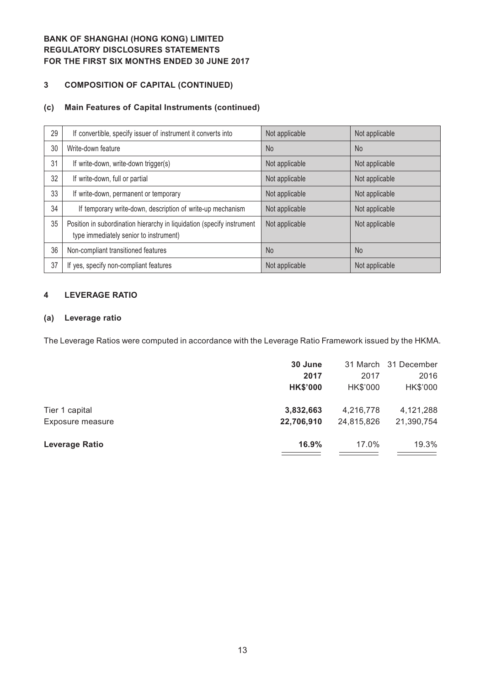## **3 COMPOSITION OF CAPITAL (CONTINUED)**

#### **(c) Main Features of Capital Instruments (continued)**

| 29 | If convertible, specify issuer of instrument it converts into                                                    | Not applicable | Not applicable |
|----|------------------------------------------------------------------------------------------------------------------|----------------|----------------|
| 30 | Write-down feature                                                                                               | <b>No</b>      | <b>No</b>      |
| 31 | If write-down, write-down trigger(s)                                                                             | Not applicable | Not applicable |
| 32 | If write-down, full or partial                                                                                   | Not applicable | Not applicable |
| 33 | If write-down, permanent or temporary                                                                            | Not applicable | Not applicable |
| 34 | If temporary write-down, description of write-up mechanism                                                       | Not applicable | Not applicable |
| 35 | Position in subordination hierarchy in liquidation (specify instrument<br>type immediately senior to instrument) | Not applicable | Not applicable |
| 36 | Non-compliant transitioned features                                                                              | <b>No</b>      | N <sub>o</sub> |
| 37 | If yes, specify non-compliant features                                                                           | Not applicable | Not applicable |

#### **4 LEVERAGE RATIO**

#### **(a) Leverage ratio**

The Leverage Ratios were computed in accordance with the Leverage Ratio Framework issued by the HKMA.

|                       | 30 June         |            | 31 March 31 December |
|-----------------------|-----------------|------------|----------------------|
|                       | 2017            | 2017       | 2016                 |
|                       | <b>HK\$'000</b> | HK\$'000   | HK\$'000             |
| Tier 1 capital        | 3,832,663       | 4,216,778  | 4,121,288            |
| Exposure measure      | 22,706,910      | 24,815,826 | 21,390,754           |
| <b>Leverage Ratio</b> | 16.9%           | 17.0%      | 19.3%                |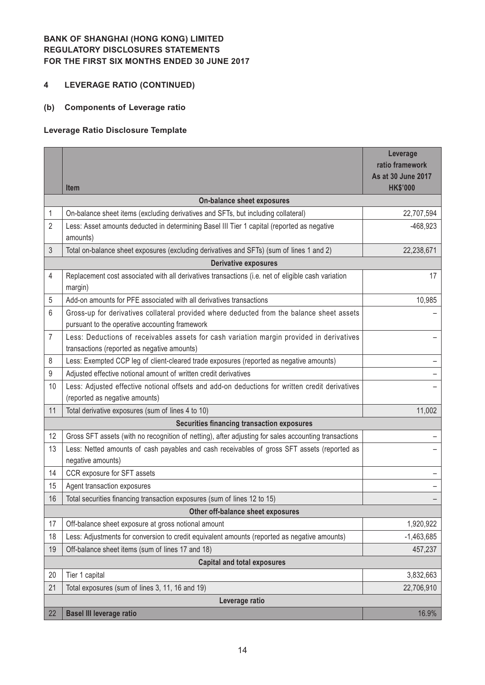## **4 LEVERAGE RATIO (CONTINUED)**

## **(b) Components of Leverage ratio**

## **Leverage Ratio Disclosure Template**

|    |                                                                                                                                             | Leverage<br>ratio framework           |  |  |  |  |  |
|----|---------------------------------------------------------------------------------------------------------------------------------------------|---------------------------------------|--|--|--|--|--|
|    | <b>Item</b>                                                                                                                                 | As at 30 June 2017<br><b>HK\$'000</b> |  |  |  |  |  |
|    | <b>On-balance sheet exposures</b>                                                                                                           |                                       |  |  |  |  |  |
| 1  | On-balance sheet items (excluding derivatives and SFTs, but including collateral)                                                           | 22,707,594                            |  |  |  |  |  |
| 2  | Less: Asset amounts deducted in determining Basel III Tier 1 capital (reported as negative<br>amounts)                                      | $-468,923$                            |  |  |  |  |  |
| 3  | Total on-balance sheet exposures (excluding derivatives and SFTs) (sum of lines 1 and 2)                                                    | 22,238,671                            |  |  |  |  |  |
|    | <b>Derivative exposures</b>                                                                                                                 |                                       |  |  |  |  |  |
| 4  | Replacement cost associated with all derivatives transactions (i.e. net of eligible cash variation<br>margin)                               | 17                                    |  |  |  |  |  |
| 5  | Add-on amounts for PFE associated with all derivatives transactions                                                                         | 10,985                                |  |  |  |  |  |
| 6  | Gross-up for derivatives collateral provided where deducted from the balance sheet assets<br>pursuant to the operative accounting framework |                                       |  |  |  |  |  |
| 7  | Less: Deductions of receivables assets for cash variation margin provided in derivatives<br>transactions (reported as negative amounts)     |                                       |  |  |  |  |  |
| 8  | Less: Exempted CCP leg of client-cleared trade exposures (reported as negative amounts)                                                     |                                       |  |  |  |  |  |
| 9  | Adjusted effective notional amount of written credit derivatives                                                                            |                                       |  |  |  |  |  |
| 10 | Less: Adjusted effective notional offsets and add-on deductions for written credit derivatives<br>(reported as negative amounts)            |                                       |  |  |  |  |  |
| 11 | Total derivative exposures (sum of lines 4 to 10)                                                                                           | 11,002                                |  |  |  |  |  |
|    | <b>Securities financing transaction exposures</b>                                                                                           |                                       |  |  |  |  |  |
| 12 | Gross SFT assets (with no recognition of netting), after adjusting for sales accounting transactions                                        |                                       |  |  |  |  |  |
| 13 | Less: Netted amounts of cash payables and cash receivables of gross SFT assets (reported as<br>negative amounts)                            |                                       |  |  |  |  |  |
| 14 | CCR exposure for SFT assets                                                                                                                 |                                       |  |  |  |  |  |
| 15 | Agent transaction exposures                                                                                                                 |                                       |  |  |  |  |  |
| 16 | Total securities financing transaction exposures (sum of lines 12 to 15)                                                                    |                                       |  |  |  |  |  |
|    | Other off-balance sheet exposures                                                                                                           |                                       |  |  |  |  |  |
| 17 | Off-balance sheet exposure at gross notional amount                                                                                         | 1,920,922                             |  |  |  |  |  |
| 18 | Less: Adjustments for conversion to credit equivalent amounts (reported as negative amounts)                                                | $-1,463,685$                          |  |  |  |  |  |
| 19 | Off-balance sheet items (sum of lines 17 and 18)                                                                                            | 457,237                               |  |  |  |  |  |
|    | <b>Capital and total exposures</b>                                                                                                          |                                       |  |  |  |  |  |
| 20 | Tier 1 capital                                                                                                                              | 3,832,663                             |  |  |  |  |  |
| 21 | Total exposures (sum of lines 3, 11, 16 and 19)                                                                                             | 22,706,910                            |  |  |  |  |  |
|    | Leverage ratio                                                                                                                              |                                       |  |  |  |  |  |
| 22 | <b>Basel III leverage ratio</b>                                                                                                             | 16.9%                                 |  |  |  |  |  |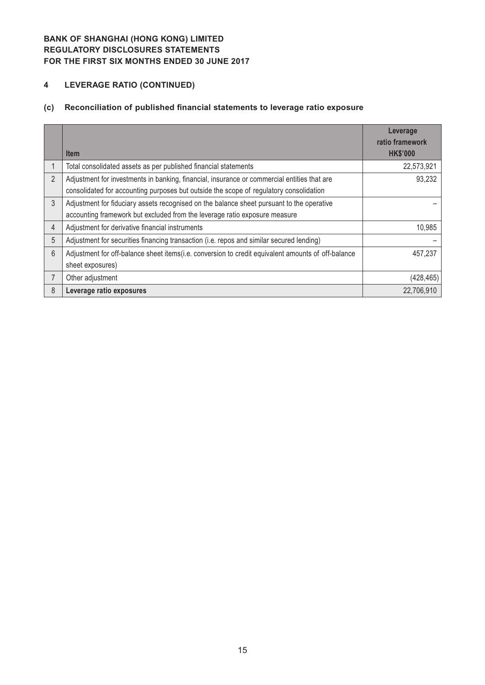# **4 LEVERAGE RATIO (CONTINUED)**

# **(c) Reconciliation of published financial statements to leverage ratio exposure**

|                |                                                                                                    | Leverage<br>ratio framework |
|----------------|----------------------------------------------------------------------------------------------------|-----------------------------|
|                | <b>Item</b>                                                                                        | <b>HK\$'000</b>             |
|                | Total consolidated assets as per published financial statements                                    | 22,573,921                  |
| 2              | Adjustment for investments in banking, financial, insurance or commercial entities that are        | 93,232                      |
|                | consolidated for accounting purposes but outside the scope of regulatory consolidation             |                             |
| $\mathfrak{Z}$ | Adjustment for fiduciary assets recognised on the balance sheet pursuant to the operative          |                             |
|                | accounting framework but excluded from the leverage ratio exposure measure                         |                             |
| 4              | Adjustment for derivative financial instruments                                                    | 10,985                      |
| 5              | Adjustment for securities financing transaction (i.e. repos and similar secured lending)           |                             |
| 6              | Adjustment for off-balance sheet items(i.e. conversion to credit equivalent amounts of off-balance | 457,237                     |
|                | sheet exposures)                                                                                   |                             |
|                | Other adjustment                                                                                   | (428, 465)                  |
| 8              | Leverage ratio exposures                                                                           | 22,706,910                  |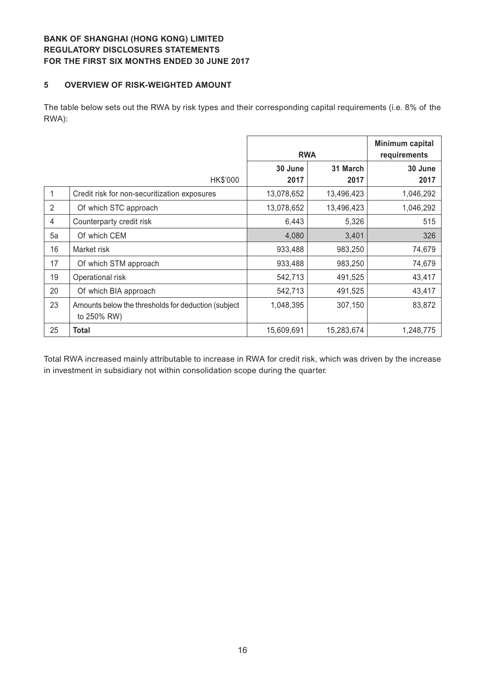#### **5 OVERVIEW OF RISK-WEIGHTED AMOUNT**

The table below sets out the RWA by risk types and their corresponding capital requirements (i.e. 8% of the RWA):

|    |                                                                     | <b>RWA</b> | Minimum capital<br>requirements |           |
|----|---------------------------------------------------------------------|------------|---------------------------------|-----------|
|    |                                                                     | 30 June    | 31 March                        | 30 June   |
|    | HK\$'000                                                            | 2017       | 2017                            | 2017      |
|    | Credit risk for non-securitization exposures                        | 13,078,652 | 13,496,423                      | 1,046,292 |
| 2  | Of which STC approach                                               | 13,078,652 | 13,496,423                      | 1,046,292 |
| 4  | Counterparty credit risk                                            | 6,443      | 5,326                           | 515       |
| 5a | Of which CEM                                                        | 4,080      | 3,401                           | 326       |
| 16 | Market risk                                                         | 933,488    | 983,250                         | 74,679    |
| 17 | Of which STM approach                                               | 933,488    | 983,250                         | 74,679    |
| 19 | Operational risk                                                    | 542,713    | 491,525                         | 43,417    |
| 20 | Of which BIA approach                                               | 542,713    | 491,525                         | 43,417    |
| 23 | Amounts below the thresholds for deduction (subject)<br>to 250% RW) | 1,048,395  | 307,150                         | 83,872    |
| 25 | <b>Total</b>                                                        | 15,609,691 | 15,283,674                      | 1,248,775 |

Total RWA increased mainly attributable to increase in RWA for credit risk, which was driven by the increase in investment in subsidiary not within consolidation scope during the quarter.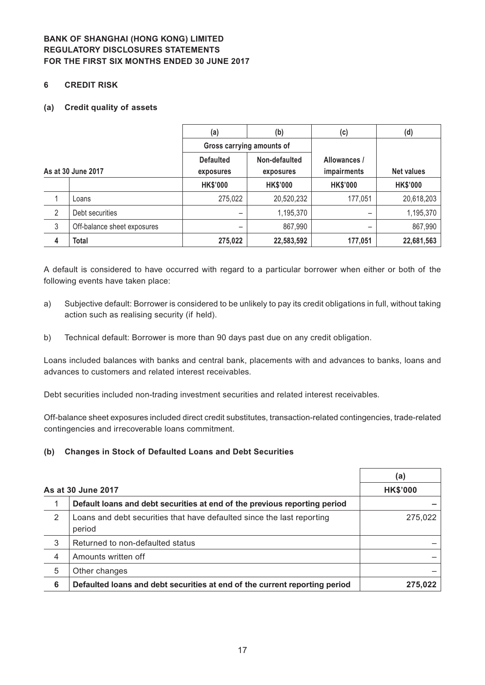#### **6 CREDIT RISK**

#### **(a) Credit quality of assets**

|                    |                             | (a)<br>(b)                        |                 | (c)             | (d)               |  |
|--------------------|-----------------------------|-----------------------------------|-----------------|-----------------|-------------------|--|
|                    |                             | Gross carrying amounts of         |                 |                 |                   |  |
|                    |                             | Non-defaulted<br><b>Defaulted</b> |                 | Allowances /    |                   |  |
| As at 30 June 2017 |                             | exposures                         | exposures       | impairments     | <b>Net values</b> |  |
|                    |                             | <b>HK\$'000</b>                   | <b>HK\$'000</b> | <b>HK\$'000</b> | <b>HK\$'000</b>   |  |
|                    | Loans                       | 275,022                           | 20,520,232      | 177,051         | 20,618,203        |  |
| 2                  | Debt securities             |                                   | 1,195,370       |                 | 1,195,370         |  |
| $\sqrt{3}$         | Off-balance sheet exposures | -                                 | 867,990         |                 | 867,990           |  |
| 4                  | <b>Total</b>                | 275,022                           | 22,583,592      | 177,051         | 22,681,563        |  |

A default is considered to have occurred with regard to a particular borrower when either or both of the following events have taken place:

- a) Subjective default: Borrower is considered to be unlikely to pay its credit obligations in full, without taking action such as realising security (if held).
- b) Technical default: Borrower is more than 90 days past due on any credit obligation.

Loans included balances with banks and central bank, placements with and advances to banks, loans and advances to customers and related interest receivables.

Debt securities included non-trading investment securities and related interest receivables.

Off-balance sheet exposures included direct credit substitutes, transaction-related contingencies, trade-related contingencies and irrecoverable loans commitment.

#### **(b) Changes in Stock of Defaulted Loans and Debt Securities**

|   |                                                                                  | (a)     |  |  |  |  |
|---|----------------------------------------------------------------------------------|---------|--|--|--|--|
|   | As at 30 June 2017                                                               |         |  |  |  |  |
|   | Default loans and debt securities at end of the previous reporting period        |         |  |  |  |  |
| 2 | Loans and debt securities that have defaulted since the last reporting<br>period | 275,022 |  |  |  |  |
| 3 | Returned to non-defaulted status                                                 |         |  |  |  |  |
| 4 | Amounts written off                                                              |         |  |  |  |  |
| 5 | Other changes                                                                    |         |  |  |  |  |
| 6 | Defaulted loans and debt securities at end of the current reporting period       | 275.022 |  |  |  |  |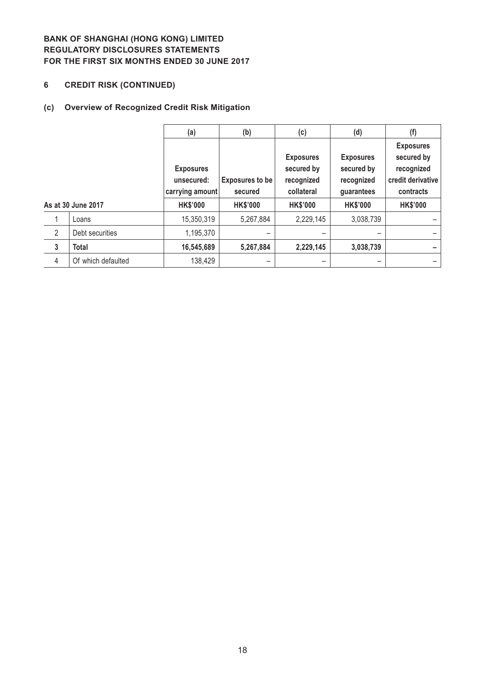# **6 CREDIT RISK (CONTINUED)**

# **(c) Overview of Recognized Credit Risk Mitigation**

|                |                    | (a)                                               | (b)                               | (c)                                                        | (d)                                                        | (f)                                                                            |
|----------------|--------------------|---------------------------------------------------|-----------------------------------|------------------------------------------------------------|------------------------------------------------------------|--------------------------------------------------------------------------------|
|                |                    | <b>Exposures</b><br>unsecured:<br>carrying amount | <b>Exposures to be</b><br>secured | <b>Exposures</b><br>secured by<br>recognized<br>collateral | <b>Exposures</b><br>secured by<br>recognized<br>guarantees | <b>Exposures</b><br>secured by<br>recognized<br>credit derivative<br>contracts |
|                | As at 30 June 2017 | <b>HK\$'000</b>                                   | <b>HK\$'000</b>                   | <b>HK\$'000</b>                                            | <b>HK\$'000</b>                                            | <b>HK\$'000</b>                                                                |
|                | Loans              | 15,350,319                                        | 5,267,884                         | 2,229,145                                                  | 3,038,739                                                  |                                                                                |
| $\overline{2}$ | Debt securities    | 1,195,370                                         |                                   |                                                            |                                                            |                                                                                |
| $\mathbf{3}$   | <b>Total</b>       | 16,545,689                                        | 5,267,884                         | 2,229,145                                                  | 3,038,739                                                  |                                                                                |
| 4              | Of which defaulted | 138,429                                           |                                   |                                                            |                                                            |                                                                                |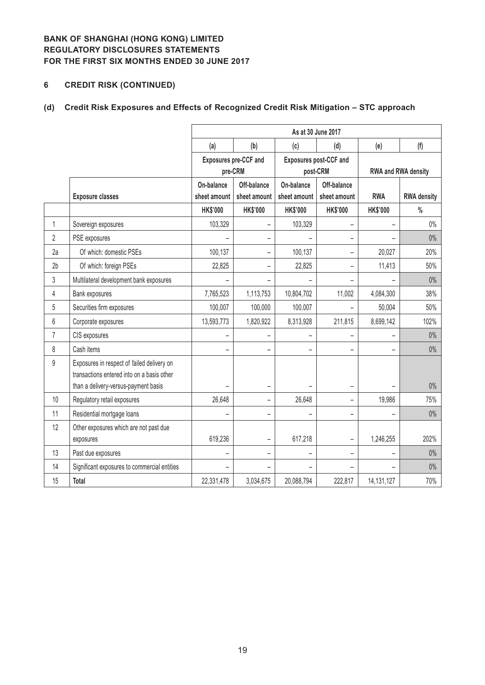# **6 CREDIT RISK (CONTINUED)**

# **(d) Credit Risk Exposures and Effects of Recognized Credit Risk Mitigation – STC approach**

|                 |                                              | As at 30 June 2017       |                              |                               |                          |                            |                    |  |  |
|-----------------|----------------------------------------------|--------------------------|------------------------------|-------------------------------|--------------------------|----------------------------|--------------------|--|--|
|                 |                                              | (a)                      | (b)                          | (c)                           | (d)                      | (e)                        | (f)                |  |  |
|                 |                                              |                          | <b>Exposures pre-CCF and</b> | <b>Exposures post-CCF and</b> |                          |                            |                    |  |  |
|                 |                                              |                          | pre-CRM                      |                               | post-CRM                 | <b>RWA and RWA density</b> |                    |  |  |
|                 |                                              | On-balance               | Off-balance                  | On-balance                    | Off-balance              |                            |                    |  |  |
|                 | <b>Exposure classes</b>                      | sheet amount             | sheet amount                 | sheet amount                  | sheet amount             | <b>RWA</b>                 | <b>RWA density</b> |  |  |
|                 |                                              | <b>HK\$'000</b>          | <b>HK\$'000</b>              | <b>HK\$'000</b>               | <b>HK\$'000</b>          | <b>HK\$'000</b>            | $\frac{0}{0}$      |  |  |
| $\mathbf{1}$    | Sovereign exposures                          | 103,329                  | $\qquad \qquad -$            | 103,329                       | $\qquad \qquad -$        |                            | $0\%$              |  |  |
| $\overline{2}$  | PSE exposures                                |                          |                              |                               |                          |                            | $0\%$              |  |  |
| 2a              | Of which: domestic PSEs                      | 100,137                  | $\overline{\phantom{0}}$     | 100,137                       | $\overline{\phantom{0}}$ | 20,027                     | 20%                |  |  |
| 2 <sub>b</sub>  | Of which: foreign PSEs                       | 22,825                   | $\overline{\phantom{0}}$     | 22,825                        | -                        | 11,413                     | 50%                |  |  |
| 3               | Multilateral development bank exposures      |                          | -                            |                               | $\overline{\phantom{0}}$ |                            | $0\%$              |  |  |
| 4               | Bank exposures                               | 7,765,523                | 1,113,753                    | 10,804,702                    | 11,002                   | 4,084,300                  | 38%                |  |  |
| 5               | Securities firm exposures                    | 100,007                  | 100,000                      | 100,007                       |                          | 50,004                     | 50%                |  |  |
| $6\phantom{.}6$ | Corporate exposures                          | 13,593,773               | 1,820,922                    | 8,313,928                     | 211,815                  | 8,699,142                  | 102%               |  |  |
| $\overline{7}$  | CIS exposures                                |                          | -                            |                               |                          |                            | $0\%$              |  |  |
| 8               | Cash items                                   |                          | $\overline{\phantom{0}}$     | $\overline{\phantom{0}}$      |                          |                            | $0\%$              |  |  |
| 9               | Exposures in respect of failed delivery on   |                          |                              |                               |                          |                            |                    |  |  |
|                 | transactions entered into on a basis other   |                          |                              |                               |                          |                            |                    |  |  |
|                 | than a delivery-versus-payment basis         |                          | -                            |                               | $\overline{\phantom{0}}$ |                            | $0\%$              |  |  |
| 10              | Regulatory retail exposures                  | 26,648                   | $\overline{\phantom{0}}$     | 26,648                        | $\overline{\phantom{0}}$ | 19,986                     | 75%                |  |  |
| 11              | Residential mortgage loans                   |                          | $\overline{\phantom{0}}$     |                               | $\overline{\phantom{0}}$ |                            | $0\%$              |  |  |
| 12              | Other exposures which are not past due       |                          |                              |                               |                          |                            |                    |  |  |
|                 | exposures                                    | 619,236                  | $\overline{\phantom{0}}$     | 617,218                       | $\overline{\phantom{0}}$ | 1,246,255                  | 202%               |  |  |
| 13              | Past due exposures                           | $\overline{\phantom{0}}$ | -                            | -                             | $\overline{a}$           |                            | $0\%$              |  |  |
| 14              | Significant exposures to commercial entities |                          |                              |                               |                          |                            | $0\%$              |  |  |
| 15              | <b>Total</b>                                 | 22,331,478               | 3,034,675                    | 20,088,794                    | 222,817                  | 14, 131, 127               | 70%                |  |  |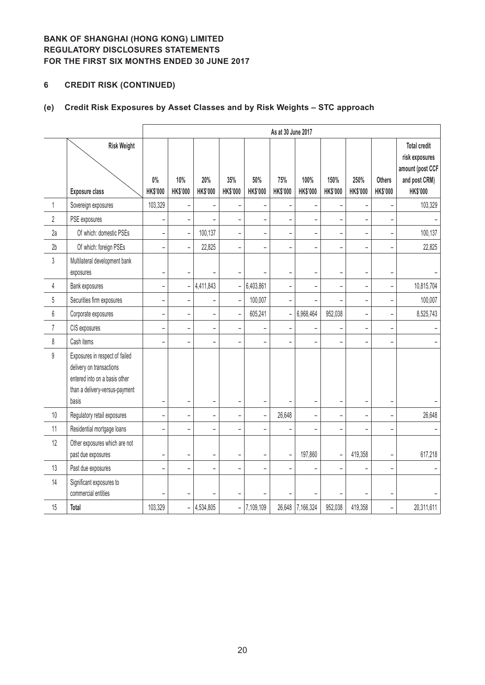# **6 CREDIT RISK (CONTINUED)**

# **(e) Credit Risk Exposures by Asset Classes and by Risk Weights – STC approach**

|                |                                                                                                                                        | As at 30 June 2017       |                          |                          |                          |                          |                          |                          |                          |                          |                           |                                                                                        |
|----------------|----------------------------------------------------------------------------------------------------------------------------------------|--------------------------|--------------------------|--------------------------|--------------------------|--------------------------|--------------------------|--------------------------|--------------------------|--------------------------|---------------------------|----------------------------------------------------------------------------------------|
|                | <b>Risk Weight</b><br><b>Exposure class</b>                                                                                            | $0\%$<br>HK\$'000        | 10%<br>HK\$'000          | 20%<br>HK\$'000          | 35%<br>HK\$'000          | 50%<br><b>HK\$'000</b>   | 75%<br>HK\$'000          | 100%<br>HK\$'000         | 150%<br>HK\$'000         | 250%<br>HK\$'000         | <b>Others</b><br>HK\$'000 | <b>Total credit</b><br>risk exposures<br>amount (post CCF<br>and post CRM)<br>HK\$'000 |
| $\mathbf{1}$   | Sovereign exposures                                                                                                                    | 103,329                  | $\overline{\phantom{a}}$ | ÷                        |                          |                          | $\overline{a}$           |                          |                          |                          |                           | 103,329                                                                                |
| $\overline{2}$ | PSE exposures                                                                                                                          |                          | $\overline{a}$           |                          | $\overline{a}$           |                          | $\overline{a}$           | L,                       | $\overline{a}$           |                          |                           |                                                                                        |
| 2a             | Of which: domestic PSEs                                                                                                                | $\qquad \qquad -$        | $\blacksquare$           | 100,137                  | $\overline{\phantom{0}}$ | $\qquad \qquad -$        | -                        | $\overline{\phantom{0}}$ | -                        | $\overline{\phantom{0}}$ | $\overline{\phantom{0}}$  | 100,137                                                                                |
| 2 <sub>b</sub> | Of which: foreign PSEs                                                                                                                 | $\overline{\phantom{0}}$ | $\overline{a}$           | 22,825                   | $\overline{a}$           |                          | $\overline{a}$           |                          | $\overline{a}$           |                          |                           | 22,825                                                                                 |
| $\mathfrak z$  | Multilateral development bank<br>exposures                                                                                             | $\overline{\phantom{0}}$ | $\overline{\phantom{a}}$ |                          |                          |                          | -                        | $\overline{\phantom{0}}$ | $\overline{\phantom{0}}$ | ۰                        |                           |                                                                                        |
| $\overline{4}$ | Bank exposures                                                                                                                         | $\overline{\phantom{a}}$ | $\overline{a}$           | 4,411,843                | $\overline{a}$           | 6,403,861                | $\overline{a}$           | ÷,                       | $\overline{a}$           |                          | $\overline{\phantom{0}}$  | 10,815,704                                                                             |
| 5              | Securities firm exposures                                                                                                              | $\qquad \qquad -$        | $\overline{a}$           | $\overline{\phantom{0}}$ | ÷,                       | 100,007                  | -                        |                          |                          | -                        |                           | 100,007                                                                                |
| $6\,$          | Corporate exposures                                                                                                                    | $\qquad \qquad -$        | $\qquad \qquad -$        | $\overline{\phantom{m}}$ | $\overline{\phantom{a}}$ | 605,241                  | $\overline{a}$           | 6,968,464                | 952,038                  | $\overline{a}$           | $\overline{\phantom{0}}$  | 8,525,743                                                                              |
| $\overline{7}$ | CIS exposures                                                                                                                          | $\overline{\phantom{a}}$ | $\overline{\phantom{0}}$ | $\overline{a}$           | $\overline{a}$           |                          | $\overline{a}$           |                          |                          |                          | ÷,                        |                                                                                        |
| 8              | Cash items                                                                                                                             |                          | L.                       | $\overline{a}$           | L.                       |                          | $\overline{a}$           |                          | L                        |                          |                           |                                                                                        |
| 9              | Exposures in respect of failed<br>delivery on transactions<br>entered into on a basis other<br>than a delivery-versus-payment<br>basis | $\overline{\phantom{a}}$ | $\equiv$                 | $\overline{\phantom{a}}$ | ۳                        |                          |                          | ۳                        | ÷                        |                          |                           |                                                                                        |
| $10\,$         | Regulatory retail exposures                                                                                                            | $\overline{\phantom{0}}$ | $\overline{a}$           | $\bar{\phantom{a}}$      | $\overline{a}$           | $\overline{\phantom{0}}$ | 26,648                   | $\overline{a}$           | -                        | L,                       |                           | 26,648                                                                                 |
| 11             | Residential mortgage loans                                                                                                             | $\overline{\phantom{0}}$ | $\overline{\phantom{0}}$ | $\overline{\phantom{0}}$ | $\overline{\phantom{0}}$ |                          | -                        |                          | -                        |                          |                           |                                                                                        |
| 12             | Other exposures which are not<br>past due exposures                                                                                    | $\overline{\phantom{0}}$ | $\overline{\phantom{0}}$ | $\qquad \qquad -$        |                          |                          | $\overline{\phantom{0}}$ | 197,860                  |                          | 419,358                  |                           | 617,218                                                                                |
| 13             | Past due exposures                                                                                                                     | $\qquad \qquad -$        | $\qquad \qquad -$        | $\qquad \qquad -$        | $\overline{\phantom{0}}$ | $\overline{\phantom{0}}$ | $\overline{\phantom{0}}$ | $\overline{a}$           | $\qquad \qquad -$        |                          | -                         |                                                                                        |
| 14             | Significant exposures to<br>commercial entities                                                                                        |                          |                          |                          |                          |                          | L                        |                          |                          |                          |                           |                                                                                        |
| 15             | <b>Total</b>                                                                                                                           | 103,329                  | $\overline{a}$           | 4,534,805                |                          | $-$ 7,109,109            |                          | 26,648 7,166,324         | 952,038                  | 419,358                  | $\overline{\phantom{0}}$  | 20,311,611                                                                             |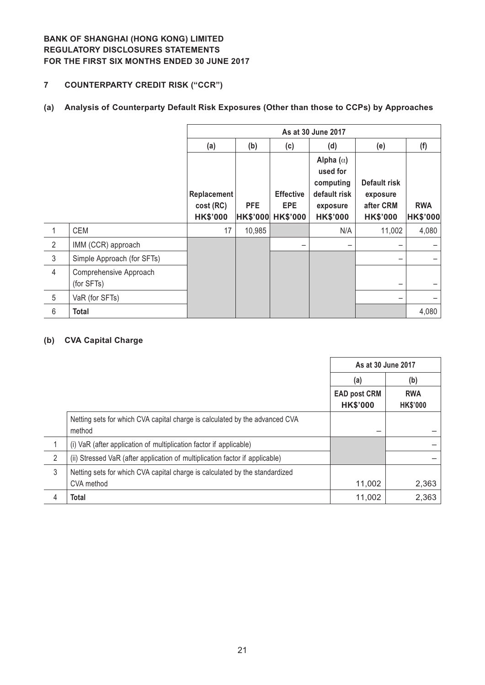## **7 COUNTERPARTY CREDIT RISK ("CCR")**

# **(a) Analysis of Counterparty Default Risk Exposures (Other than those to CCPs) by Approaches**

|                |                                      | As at 30 June 2017                          |                               |                                                   |                                                                                          |                                                          |                               |
|----------------|--------------------------------------|---------------------------------------------|-------------------------------|---------------------------------------------------|------------------------------------------------------------------------------------------|----------------------------------------------------------|-------------------------------|
|                |                                      | (a)                                         | (b)                           | (c)                                               | (d)                                                                                      | (e)                                                      | (f)                           |
|                |                                      | Replacement<br>cost (RC)<br><b>HK\$'000</b> | <b>PFE</b><br><b>HK\$'000</b> | <b>Effective</b><br><b>EPE</b><br><b>HK\$'000</b> | Alpha $(\alpha)$<br>used for<br>computing<br>default risk<br>exposure<br><b>HK\$'000</b> | Default risk<br>exposure<br>after CRM<br><b>HK\$'000</b> | <b>RWA</b><br><b>HK\$'000</b> |
| 1              | CEM                                  | 17                                          | 10,985                        |                                                   | N/A                                                                                      | 11,002                                                   | 4,080                         |
| $\overline{2}$ | IMM (CCR) approach                   |                                             |                               |                                                   | -                                                                                        |                                                          |                               |
| $\mathfrak{Z}$ | Simple Approach (for SFTs)           |                                             |                               |                                                   |                                                                                          | -                                                        |                               |
| $\overline{4}$ | Comprehensive Approach<br>(for SFTs) |                                             |                               |                                                   |                                                                                          |                                                          |                               |
| 5              | VaR (for SFTs)                       |                                             |                               |                                                   |                                                                                          |                                                          |                               |
| 6              | <b>Total</b>                         |                                             |                               |                                                   |                                                                                          |                                                          | 4,080                         |

## **(b) CVA Capital Charge**

|   |                                                                                       | As at 30 June 2017                     |                               |
|---|---------------------------------------------------------------------------------------|----------------------------------------|-------------------------------|
|   |                                                                                       | (a)                                    | (b)                           |
|   |                                                                                       | <b>EAD post CRM</b><br><b>HK\$'000</b> | <b>RWA</b><br><b>HK\$'000</b> |
|   | Netting sets for which CVA capital charge is calculated by the advanced CVA<br>method |                                        |                               |
|   | (i) VaR (after application of multiplication factor if applicable)                    |                                        |                               |
| 2 | (ii) Stressed VaR (after application of multiplication factor if applicable)          |                                        |                               |
| 3 | Netting sets for which CVA capital charge is calculated by the standardized           |                                        |                               |
|   | CVA method                                                                            | 11,002                                 | 2,363                         |
| 4 | Total                                                                                 | 11,002                                 | 2,363                         |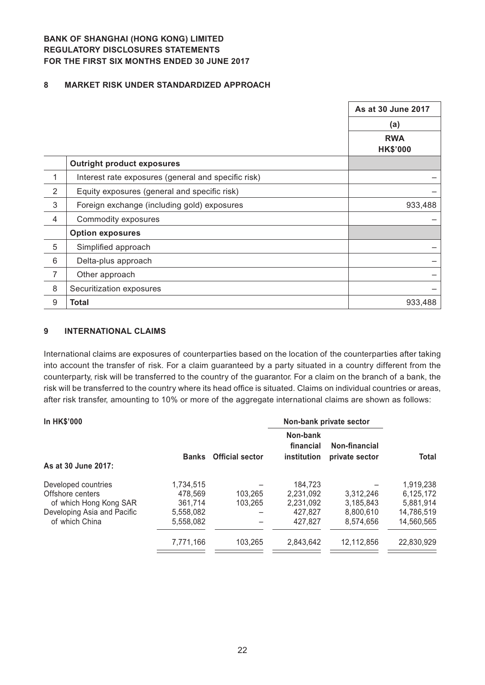#### **8 MARKET RISK UNDER STANDARDIZED APPROACH**

|                |                                                     | As at 30 June 2017            |
|----------------|-----------------------------------------------------|-------------------------------|
|                |                                                     | (a)                           |
|                |                                                     | <b>RWA</b><br><b>HK\$'000</b> |
|                | <b>Outright product exposures</b>                   |                               |
| 1              | Interest rate exposures (general and specific risk) |                               |
| $\overline{2}$ | Equity exposures (general and specific risk)        |                               |
| 3              | Foreign exchange (including gold) exposures         | 933,488                       |
| $\overline{4}$ | Commodity exposures                                 |                               |
|                | <b>Option exposures</b>                             |                               |
| 5              | Simplified approach                                 |                               |
| 6              | Delta-plus approach                                 |                               |
| $\overline{7}$ | Other approach                                      |                               |
| 8              | Securitization exposures                            |                               |
| $9\,$          | <b>Total</b>                                        | 933,488                       |

#### **9 INTERNATIONAL CLAIMS**

International claims are exposures of counterparties based on the location of the counterparties after taking into account the transfer of risk. For a claim guaranteed by a party situated in a country different from the counterparty, risk will be transferred to the country of the guarantor. For a claim on the branch of a bank, the risk will be transferred to the country where its head office is situated. Claims on individual countries or areas, after risk transfer, amounting to 10% or more of the aggregate international claims are shown as follows:

| <b>In HK\$'000</b>          |           |                        | Non-bank private sector              |                                 |            |
|-----------------------------|-----------|------------------------|--------------------------------------|---------------------------------|------------|
| As at 30 June 2017:         | Banks     | <b>Official sector</b> | Non-bank<br>financial<br>institution | Non-financial<br>private sector | Total      |
| Developed countries         | 1,734,515 |                        | 184.723                              |                                 | 1,919,238  |
| Offshore centers            | 478.569   | 103.265                | 2.231.092                            | 3.312.246                       | 6,125,172  |
| of which Hong Kong SAR      | 361.714   | 103.265                | 2.231.092                            | 3.185.843                       | 5.881.914  |
| Developing Asia and Pacific | 5.558.082 |                        | 427.827                              | 8.800.610                       | 14.786.519 |
| of which China              | 5.558.082 |                        | 427.827                              | 8.574.656                       | 14.560.565 |
|                             | 7,771,166 | 103.265                | 2,843,642                            | 12,112,856                      | 22,830,929 |
|                             |           |                        |                                      |                                 |            |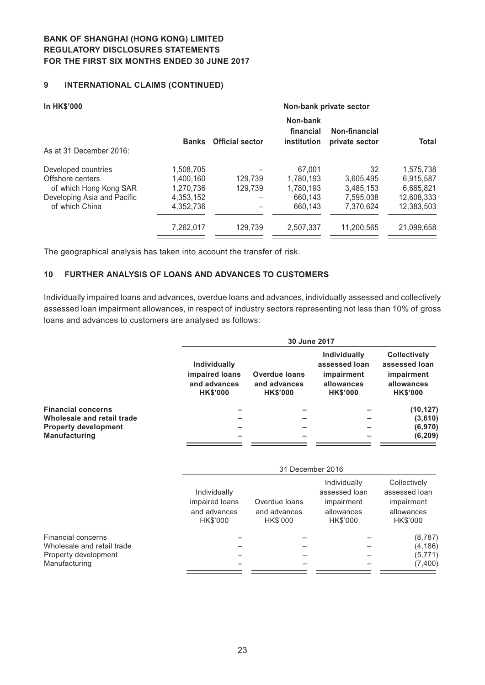## **9 INTERNATIONAL CLAIMS (CONTINUED)**

| <b>In HK\$'000</b>          |              | Non-bank private sector |                                      |                                 |            |
|-----------------------------|--------------|-------------------------|--------------------------------------|---------------------------------|------------|
|                             | <b>Banks</b> | <b>Official sector</b>  | Non-bank<br>financial<br>institution | Non-financial<br>private sector | Total      |
| As at 31 December 2016:     |              |                         |                                      |                                 |            |
| Developed countries         | 1,508,705    |                         | 67,001                               | 32                              | 1,575,738  |
| Offshore centers            | 1,400,160    | 129,739                 | 1,780,193                            | 3,605,495                       | 6,915,587  |
| of which Hong Kong SAR      | 1,270,736    | 129.739                 | 1,780,193                            | 3,485,153                       | 6,665,821  |
| Developing Asia and Pacific | 4,353,152    |                         | 660,143                              | 7,595,038                       | 12,608,333 |
| of which China              | 4,352,736    |                         | 660,143                              | 7.370.624                       | 12,383,503 |
|                             | 7,262,017    | 129.739                 | 2,507,337                            | 11.200.565                      | 21,099,658 |
|                             |              |                         |                                      |                                 |            |

The geographical analysis has taken into account the transfer of risk.

#### **10 FURTHER ANALYSIS OF LOANS AND ADVANCES TO CUSTOMERS**

Individually impaired loans and advances, overdue loans and advances, individually assessed and collectively assessed loan impairment allowances, in respect of industry sectors representing not less than 10% of gross loans and advances to customers are analysed as follows:

|                             |                                                                   | 30 June 2017                                            |                                                                              |                                                                                     |  |  |  |
|-----------------------------|-------------------------------------------------------------------|---------------------------------------------------------|------------------------------------------------------------------------------|-------------------------------------------------------------------------------------|--|--|--|
|                             | Individually<br>impaired loans<br>and advances<br><b>HK\$'000</b> | <b>Overdue loans</b><br>and advances<br><b>HK\$'000</b> | Individually<br>assessed loan<br>impairment<br>allowances<br><b>HK\$'000</b> | <b>Collectively</b><br>assessed loan<br>impairment<br>allowances<br><b>HK\$'000</b> |  |  |  |
| <b>Financial concerns</b>   |                                                                   |                                                         |                                                                              | (10, 127)                                                                           |  |  |  |
| Wholesale and retail trade  |                                                                   |                                                         |                                                                              | (3,610)                                                                             |  |  |  |
| <b>Property development</b> |                                                                   |                                                         |                                                                              | (6,970)                                                                             |  |  |  |
| <b>Manufacturing</b>        |                                                                   |                                                         |                                                                              | (6, 209)                                                                            |  |  |  |

|                            |                                                            | 31 December 2016                          |                                                                       |                                                                       |  |  |  |
|----------------------------|------------------------------------------------------------|-------------------------------------------|-----------------------------------------------------------------------|-----------------------------------------------------------------------|--|--|--|
|                            | Individually<br>impaired loans<br>and advances<br>HK\$'000 | Overdue loans<br>and advances<br>HK\$'000 | Individually<br>assessed loan<br>impairment<br>allowances<br>HK\$'000 | Collectively<br>assessed loan<br>impairment<br>allowances<br>HK\$'000 |  |  |  |
| Financial concerns         |                                                            |                                           |                                                                       | (8, 787)                                                              |  |  |  |
| Wholesale and retail trade |                                                            |                                           |                                                                       | (4, 186)                                                              |  |  |  |
| Property development       |                                                            |                                           |                                                                       | (5, 771)                                                              |  |  |  |
| Manufacturing              |                                                            |                                           |                                                                       | (7,400)                                                               |  |  |  |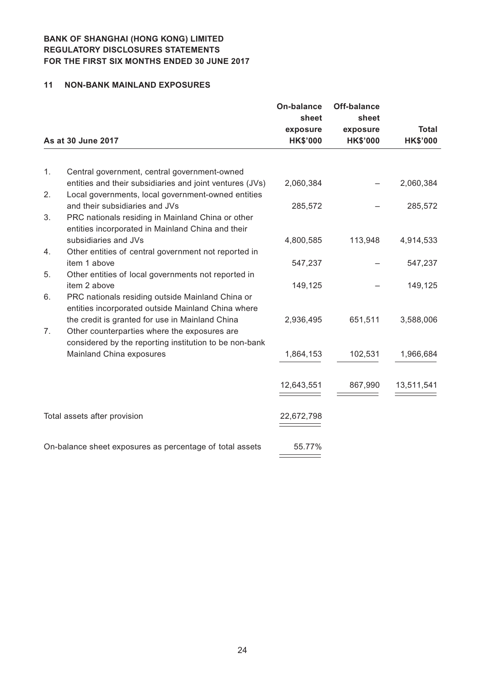#### **11 NON-BANK MAINLAND EXPOSURES**

|    |                                                                                                          | <b>On-balance</b><br>sheet  | <b>Off-balance</b><br>sheet |                                 |
|----|----------------------------------------------------------------------------------------------------------|-----------------------------|-----------------------------|---------------------------------|
|    | As at 30 June 2017                                                                                       | exposure<br><b>HK\$'000</b> | exposure<br><b>HK\$'000</b> | <b>Total</b><br><b>HK\$'000</b> |
|    |                                                                                                          |                             |                             |                                 |
| 1. | Central government, central government-owned<br>entities and their subsidiaries and joint ventures (JVs) | 2,060,384                   |                             | 2,060,384                       |
| 2. | Local governments, local government-owned entities                                                       |                             |                             |                                 |
|    | and their subsidiaries and JVs                                                                           | 285,572                     |                             | 285,572                         |
| 3. | PRC nationals residing in Mainland China or other<br>entities incorporated in Mainland China and their   |                             |                             |                                 |
|    | subsidiaries and JVs                                                                                     | 4,800,585                   | 113,948                     | 4,914,533                       |
| 4. | Other entities of central government not reported in                                                     |                             |                             |                                 |
|    | item 1 above                                                                                             | 547,237                     |                             | 547,237                         |
| 5. | Other entities of local governments not reported in<br>item 2 above                                      | 149,125                     |                             | 149,125                         |
| 6. | PRC nationals residing outside Mainland China or                                                         |                             |                             |                                 |
|    | entities incorporated outside Mainland China where                                                       |                             |                             |                                 |
|    | the credit is granted for use in Mainland China                                                          | 2,936,495                   | 651,511                     | 3,588,006                       |
| 7. | Other counterparties where the exposures are                                                             |                             |                             |                                 |
|    | considered by the reporting institution to be non-bank<br>Mainland China exposures                       | 1,864,153                   | 102,531                     | 1,966,684                       |
|    |                                                                                                          |                             |                             |                                 |
|    |                                                                                                          | 12,643,551                  | 867,990                     | 13,511,541                      |
|    |                                                                                                          |                             |                             |                                 |
|    | Total assets after provision                                                                             | 22,672,798                  |                             |                                 |
|    |                                                                                                          |                             |                             |                                 |
|    | On-balance sheet exposures as percentage of total assets                                                 | 55.77%                      |                             |                                 |
|    |                                                                                                          |                             |                             |                                 |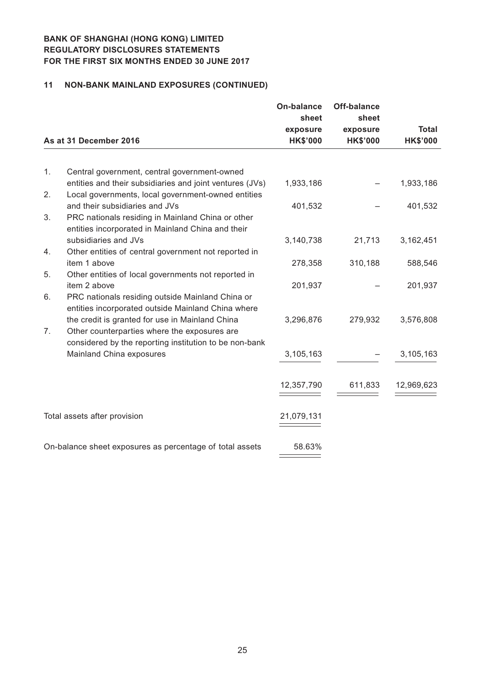## **11 NON-BANK MAINLAND EXPOSURES (CONTINUED)**

|    |                                                                                                                | On-balance<br>sheet         | Off-balance<br>sheet        |                                 |
|----|----------------------------------------------------------------------------------------------------------------|-----------------------------|-----------------------------|---------------------------------|
|    | As at 31 December 2016                                                                                         | exposure<br><b>HK\$'000</b> | exposure<br><b>HK\$'000</b> | <b>Total</b><br><b>HK\$'000</b> |
|    |                                                                                                                |                             |                             |                                 |
| 1. | Central government, central government-owned                                                                   |                             |                             |                                 |
| 2. | entities and their subsidiaries and joint ventures (JVs)<br>Local governments, local government-owned entities | 1,933,186                   |                             | 1,933,186                       |
|    | and their subsidiaries and JVs                                                                                 | 401,532                     |                             | 401,532                         |
| 3. | PRC nationals residing in Mainland China or other                                                              |                             |                             |                                 |
|    | entities incorporated in Mainland China and their                                                              |                             |                             |                                 |
|    | subsidiaries and JVs                                                                                           | 3,140,738                   | 21,713                      | 3,162,451                       |
| 4. | Other entities of central government not reported in                                                           |                             |                             |                                 |
| 5. | item 1 above<br>Other entities of local governments not reported in                                            | 278,358                     | 310,188                     | 588,546                         |
|    | item 2 above                                                                                                   | 201,937                     |                             | 201,937                         |
| 6. | PRC nationals residing outside Mainland China or                                                               |                             |                             |                                 |
|    | entities incorporated outside Mainland China where                                                             |                             |                             |                                 |
|    | the credit is granted for use in Mainland China                                                                | 3,296,876                   | 279,932                     | 3,576,808                       |
| 7. | Other counterparties where the exposures are                                                                   |                             |                             |                                 |
|    | considered by the reporting institution to be non-bank                                                         |                             |                             |                                 |
|    | Mainland China exposures                                                                                       | 3,105,163                   |                             | 3,105,163                       |
|    |                                                                                                                | 12,357,790                  | 611,833                     | 12,969,623                      |
|    |                                                                                                                |                             |                             |                                 |
|    | Total assets after provision                                                                                   | 21,079,131                  |                             |                                 |
|    |                                                                                                                |                             |                             |                                 |
|    | On-balance sheet exposures as percentage of total assets                                                       | 58.63%                      |                             |                                 |